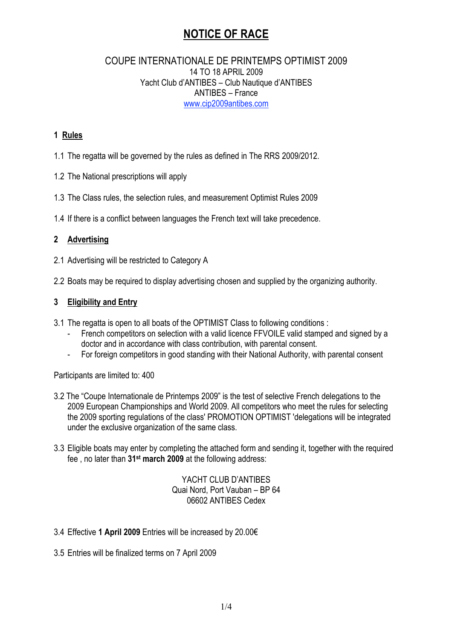# COUPE INTERNATIONALE DE PRINTEMPS OPTIMIST 2009 14 TO 18 APRIL 2009 Yacht Club d'ANTIBES – Club Nautique d'ANTIBES ANTIBES – France www.cip2009antibes.com

# **1 Rules**

- 1.1 The regatta will be governed by the rules as defined in The RRS 2009/2012.
- 1.2 The National prescriptions will apply
- 1.3 The Class rules, the selection rules, and measurement Optimist Rules 2009
- 1.4 If there is a conflict between languages the French text will take precedence.

# **2 Advertising**

- 2.1 Advertising will be restricted to Category A
- 2.2 Boats may be required to display advertising chosen and supplied by the organizing authority.

# **3 Eligibility and Entry**

- 3.1 The regatta is open to all boats of the OPTIMIST Class to following conditions :
	- French competitors on selection with a valid licence FFVOILE valid stamped and signed by a doctor and in accordance with class contribution, with parental consent.
	- For foreign competitors in good standing with their National Authority, with parental consent

Participants are limited to: 400

- 3.2 The "Coupe Internationale de Printemps 2009" is the test of selective French delegations to the 2009 European Championships and World 2009. All competitors who meet the rules for selecting the 2009 sporting regulations of the class' PROMOTION OPTIMIST 'delegations will be integrated under the exclusive organization of the same class.
- 3.3 Eligible boats may enter by completing the attached form and sending it, together with the required fee , no later than **31st march 2009** at the following address:

YACHT CLUB D'ANTIBES Quai Nord, Port Vauban – BP 64 06602 ANTIBES Cedex

- 3.4 Effective **1 April 2009** Entries will be increased by 20.00€
- 3.5 Entries will be finalized terms on 7 April 2009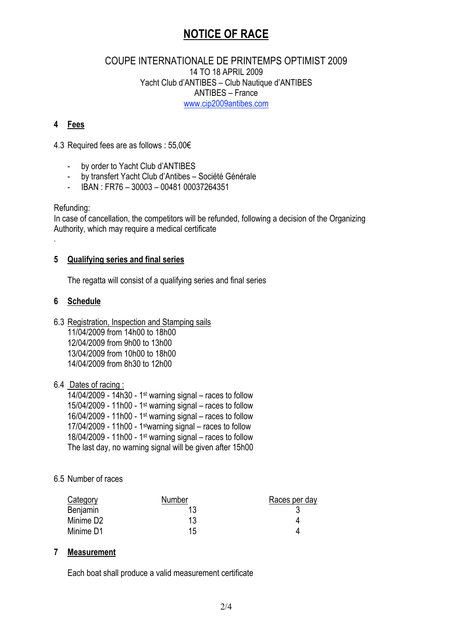# COUPE INTERNATIONALE DE PRINTEMPS OPTIMIST 2009 14 TO 18 APRIL 2009 Yacht Club d'ANTIBES – Club Nautique d'ANTIBES ANTIBES – France www.cip2009antibes.com

# **4 Fees**

4.3 Required fees are as follows : 55,00€

- by order to Yacht Club d'ANTIBES
- by transfert Yacht Club d'Antibes Société Générale
- IBAN : FR76 30003 00481 00037264351

Refunding:

.

In case of cancellation, the competitors will be refunded, following a decision of the Organizing Authority, which may require a medical certificate

#### **5 Qualifying series and final series**

The regatta will consist of a qualifying series and final series

# **6 Schedule**

6.3 Registration, Inspection and Stamping sails 11/04/2009 from 14h00 to 18h00 12/04/2009 from 9h00 to 13h00 13/04/2009 from 10h00 to 18h00 14/04/2009 from 8h30 to 12h00

# 6.4 Dates of racing :

 $14/04/2009$  - 14h30 - 1<sup>st</sup> warning signal – races to follow 15/04/2009 - 11h00 - 1st warning signal – races to follow 16/04/2009 - 11h00 - 1st warning signal – races to follow 17/04/2009 - 11h00 - 1stwarning signal – races to follow 18/04/2009 - 11h00 - 1<sup>st</sup> warning signal – races to follow The last day, no warning signal will be given after 15h00

# 6.5 Number of races

| Category  | Number | Races per day |
|-----------|--------|---------------|
| Benjamin  |        |               |
| Minime D2 | 13     |               |
| Minime D1 | 15     |               |

#### **7 Measurement**

Each boat shall produce a valid measurement certificate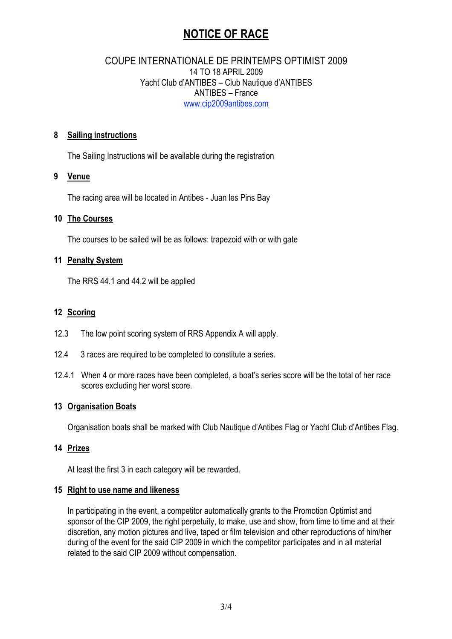# COUPE INTERNATIONALE DE PRINTEMPS OPTIMIST 2009 14 TO 18 APRIL 2009 Yacht Club d'ANTIBES – Club Nautique d'ANTIBES ANTIBES – France www.cip2009antibes.com

### **8 Sailing instructions**

The Sailing Instructions will be available during the registration

#### **9 Venue**

The racing area will be located in Antibes - Juan les Pins Bay

#### **10 The Courses**

The courses to be sailed will be as follows: trapezoid with or with gate

#### **11 Penalty System**

The RRS 44.1 and 44.2 will be applied

# **12 Scoring**

- 12.3 The low point scoring system of RRS Appendix A will apply.
- 12.4 3 races are required to be completed to constitute a series.
- 12.4.1 When 4 or more races have been completed, a boat's series score will be the total of her race scores excluding her worst score.

#### **13 Organisation Boats**

Organisation boats shall be marked with Club Nautique d'Antibes Flag or Yacht Club d'Antibes Flag.

#### **14 Prizes**

At least the first 3 in each category will be rewarded.

#### **15 Right to use name and likeness**

In participating in the event, a competitor automatically grants to the Promotion Optimist and sponsor of the CIP 2009, the right perpetuity, to make, use and show, from time to time and at their discretion, any motion pictures and live, taped or film television and other reproductions of him/her during of the event for the said CIP 2009 in which the competitor participates and in all material related to the said CIP 2009 without compensation.